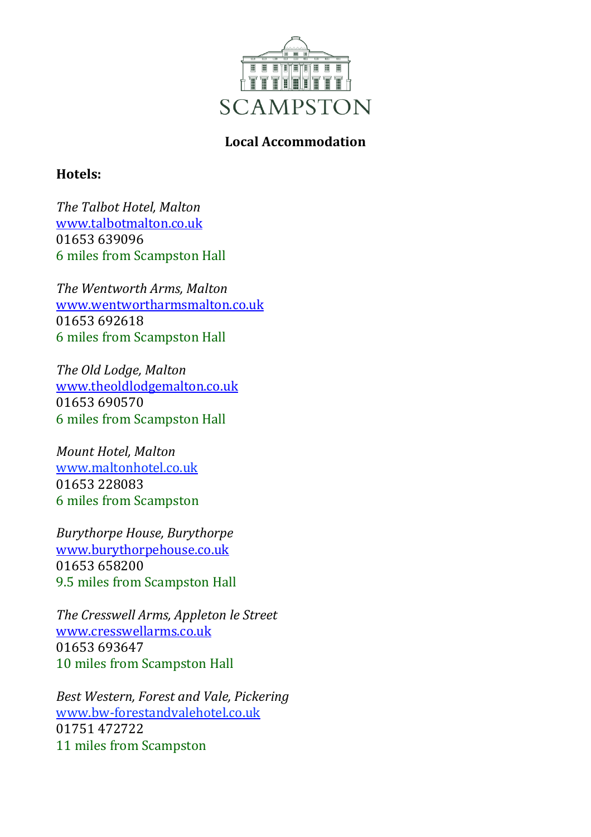

## **Local Accommodation**

## **Hotels:**

*The Talbot Hotel, Malton* [www.talbotmalton.co.uk](http://www.talbotmalton.co.uk/) 01653 639096 6 miles from Scampston Hall

*The Wentworth Arms, Malton* www.wentwortharmsmalton.co.uk 01653 692618 6 miles from Scampston Hall

*The Old Lodge, Malton* www.theoldlodgemalton.co.uk 01653 690570 6 miles from Scampston Hall

*Mount Hotel, Malton* www.maltonhotel.co.uk 01653 228083 6 miles from Scampston

*Burythorpe House, Burythorpe* www.burythorpehouse.co.uk 01653 658200 9.5 miles from Scampston Hall

*The Cresswell Arms, Appleton le Street* [www.cresswellarms.co.uk](http://www.cresswellarms.co.uk/) 01653 693647 10 miles from Scampston Hall

*Best Western, Forest and Vale, Pickering* [www.bw-forestandvalehotel.co.uk](http://www.bw-forestandvalehotel.co.uk/)  01751 472722 11 miles from Scampston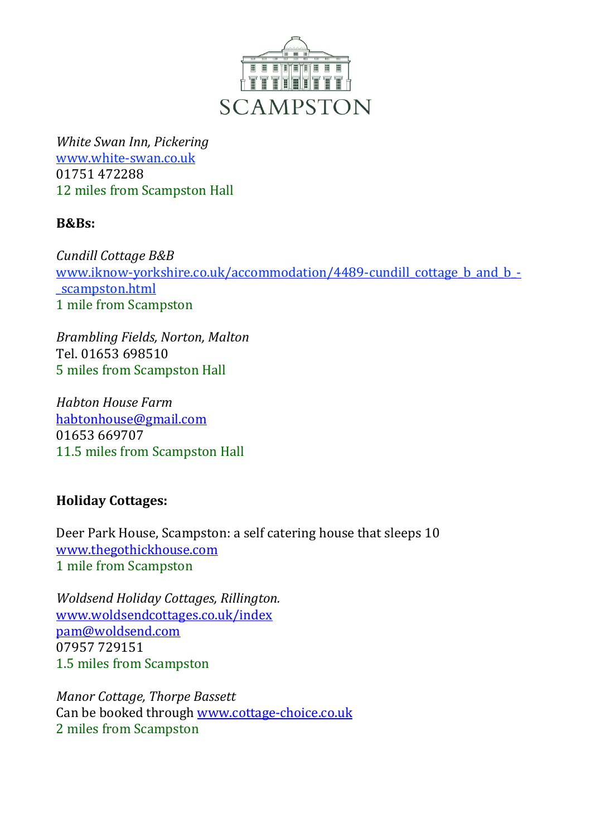

*White Swan Inn, Pickering* www.white-swan.co.uk 01751 472288 12 miles from Scampston Hall

## **B&Bs:**

*Cundill Cottage B&B* [www.iknow-yorkshire.co.uk/accommodation/4489-cundill\\_cottage\\_b\\_and\\_b\\_-](http://www.iknow-yorkshire.co.uk/accommodation/4489-cundill_cottage_b_and_b_-_scampston.htm) [\\_scampston.html](http://www.iknow-yorkshire.co.uk/accommodation/4489-cundill_cottage_b_and_b_-_scampston.htm) 1 mile from Scampston

*Brambling Fields, Norton, Malton* Tel. 01653 698510 5 miles from Scampston Hall

*Habton House Farm* [habtonhouse@gmail.com](mailto:habtonhouse@gmail.com) 01653 669707 11.5 miles from Scampston Hall

## **Holiday Cottages:**

Deer Park House, Scampston: a self catering house that sleeps 10 [www.thegothickhouse.com](http://www.thegothickhouse.com/) 1 mile from Scampston

*Woldsend Holiday Cottages, Rillington.* [www.woldsendcottages.co.uk/index](http://www.woldsendcottages.co.uk/index) [pam@woldsend.com](mailto:pam@woldsend.com) 07957 729151 1.5 miles from Scampston

*Manor Cottage, Thorpe Bassett* Can be booked through [www.cottage-choice.co.uk](http://www.cottage-choice.co.uk/) 2 miles from Scampston